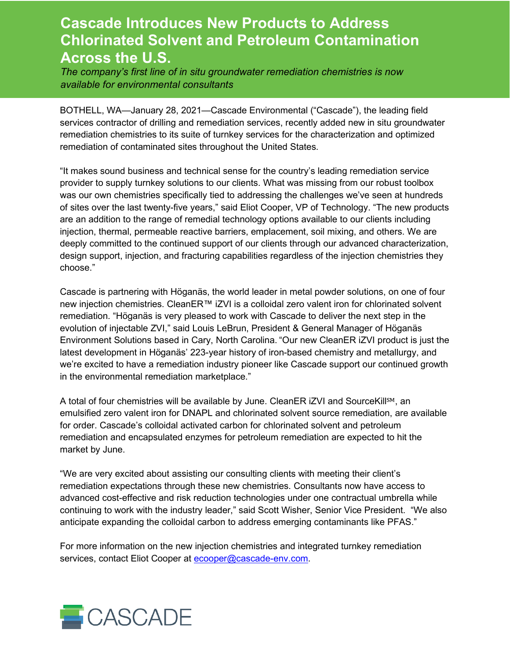## **Cascade Introduces New Products to Address Chlorinated Solvent and Petroleum Contamination Across the U.S.**

*The company's first line of in situ groundwater remediation chemistries is now available for environmental consultants*

BOTHELL, WA—January 28, 2021—Cascade Environmental ("Cascade"), the leading field services contractor of drilling and remediation services, recently added new in situ groundwater remediation chemistries to its suite of turnkey services for the characterization and optimized remediation of contaminated sites throughout the United States.

"It makes sound business and technical sense for the country's leading remediation service provider to supply turnkey solutions to our clients. What was missing from our robust toolbox was our own chemistries specifically tied to addressing the challenges we've seen at hundreds of sites over the last twenty-five years," said Eliot Cooper, VP of Technology. "The new products are an addition to the range of remedial technology options available to our clients including injection, thermal, permeable reactive barriers, emplacement, soil mixing, and others. We are deeply committed to the continued support of our clients through our advanced characterization, design support, injection, and fracturing capabilities regardless of the injection chemistries they choose."

Cascade is partnering with Höganäs, the world leader in metal powder solutions, on one of four new injection chemistries. CleanER™ iZVI is a colloidal zero valent iron for chlorinated solvent remediation. "Höganäs is very pleased to work with Cascade to deliver the next step in the evolution of injectable ZVI," said Louis LeBrun, President & General Manager of Höganäs Environment Solutions based in Cary, North Carolina. "Our new CleanER iZVI product is just the latest development in Höganäs' 223-year history of iron-based chemistry and metallurgy, and we're excited to have a remediation industry pioneer like Cascade support our continued growth in the environmental remediation marketplace."

A total of four chemistries will be available by June. CleanER iZVI and SourceKillSM, an emulsified zero valent iron for DNAPL and chlorinated solvent source remediation, are available for order. Cascade's colloidal activated carbon for chlorinated solvent and petroleum remediation and encapsulated enzymes for petroleum remediation are expected to hit the market by June.

"We are very excited about assisting our consulting clients with meeting their client's remediation expectations through these new chemistries. Consultants now have access to advanced cost-effective and risk reduction technologies under one contractual umbrella while continuing to work with the industry leader," said Scott Wisher, Senior Vice President. "We also anticipate expanding the colloidal carbon to address emerging contaminants like PFAS."

For more information on the new injection chemistries and integrated turnkey remediation services, contact Eliot Cooper at [ecooper@cascade-env.com.](mailto:ecooper@cascade-env.com)